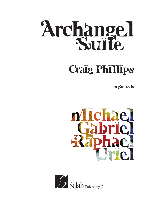

## Craig Phillips

organ solo



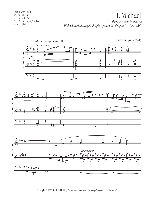Gt.: full with Tpt. 8' Sw.: full, Ch./Sw. Ch.: full with 8' reed Ped.: Found. 16', 8', Sw./Ped. Man. coupled

## I. Michael

*"…there was war in heaven. Michael and his angels fought against the dragon." – Rev. 12:7*



Copyright © 2012 Selah Publishing Co. www.selahpub.com *It is illegal to photocopy this music.*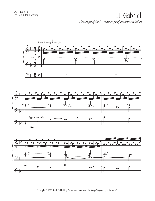## II. Gabriel *Messenger of God – messenger of the Annunciation*







Copyright © 2012 Selah Publishing Co. www.selahpub.com *It is illegal to photocopy this music.*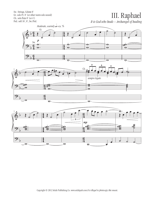Sw.: Strings, Celeste 8' Gt.: solo Pr. 8' (or other warm solo sound) Ch.: solo flute 8' (or 4') Ped.: soft 16', 8', Sw./Ped.

## III. Raphael

*It is God who heals – Archangel of healing*



˙ Copyright © 2012 Selah Publishing Co. www.selahpub.com *It is illegal to photocopy this music.*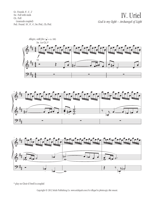Gt.: Founds. 8', 4', 2' Sw.: Full with reeds Ch.: Full (manuals coupled) Ped.: Found. 16', 8', 4'; Sw./Ped., Ch./Ped.







\* play on Choir if Swell is coupled